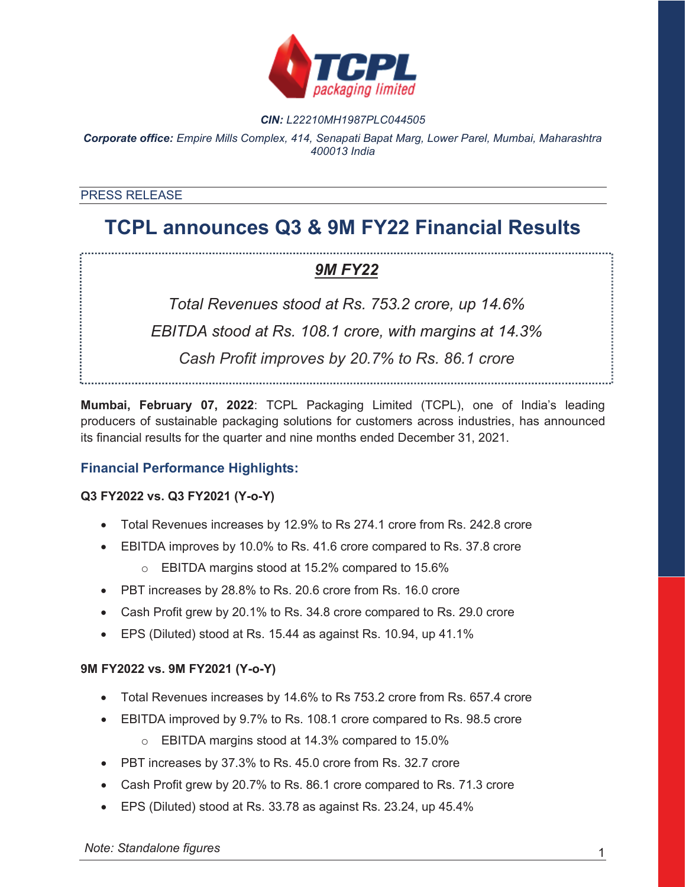

#### *CIN: L22210MH1987PLC044505*

*Corporate office: Empire Mills Complex, 414, Senapati Bapat Marg, Lower Parel, Mumbai, Maharashtra 400013 India*

#### PRESS RELEASE

# **TCPL announces Q3 & 9M FY22 Financial Results**

## *9M FY22*

*Total Revenues stood at Rs. 753.2 crore, up 14.6% EBITDA stood at Rs. 108.1 crore, with margins at 14.3% Cash Profit improves by 20.7% to Rs. 86.1 crore*

**Mumbai, February 07, 2022**: TCPL Packaging Limited (TCPL), one of India's leading producers of sustainable packaging solutions for customers across industries, has announced its financial results for the quarter and nine months ended December 31, 2021.

### **Financial Performance Highlights:**

#### **Q3 FY2022 vs. Q3 FY2021 (Y-o-Y)**

- x Total Revenues increases by 12.9% to Rs 274.1 crore from Rs. 242.8 crore
- EBITDA improves by 10.0% to Rs. 41.6 crore compared to Rs. 37.8 crore
	- o EBITDA margins stood at 15.2% compared to 15.6%
- PBT increases by 28.8% to Rs. 20.6 crore from Rs. 16.0 crore
- Cash Profit grew by 20.1% to Rs. 34.8 crore compared to Rs. 29.0 crore
- EPS (Diluted) stood at Rs. 15.44 as against Rs. 10.94, up 41.1%

#### **9M FY2022 vs. 9M FY2021 (Y-o-Y)**

- Total Revenues increases by 14.6% to Rs 753.2 crore from Rs. 657.4 crore
- EBITDA improved by 9.7% to Rs. 108.1 crore compared to Rs. 98.5 crore o EBITDA margins stood at 14.3% compared to 15.0%
- PBT increases by 37.3% to Rs. 45.0 crore from Rs. 32.7 crore
- Cash Profit grew by 20.7% to Rs. 86.1 crore compared to Rs. 71.3 crore
- x EPS (Diluted) stood at Rs. 33.78 as against Rs. 23.24, up 45.4%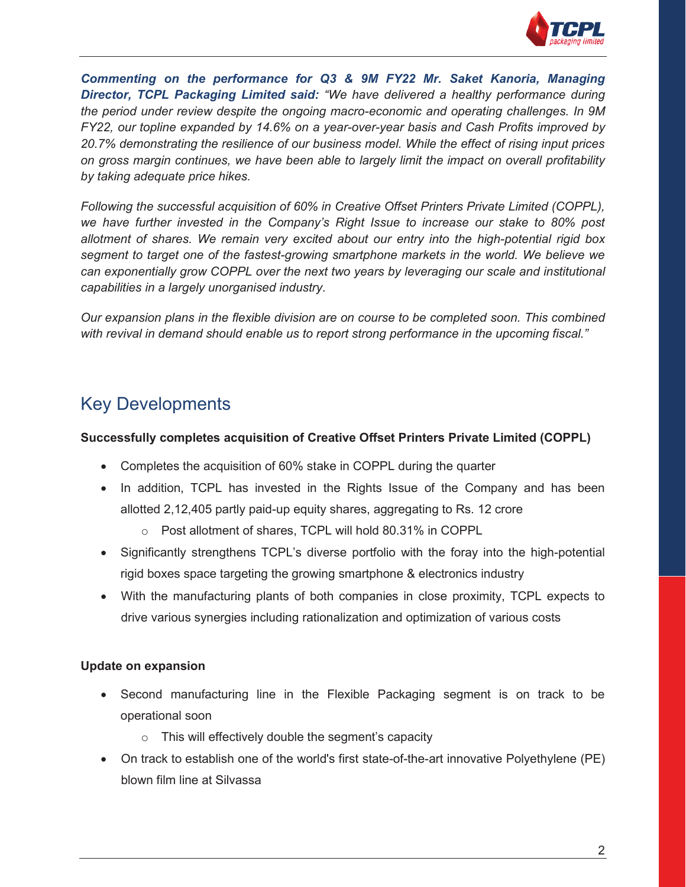

*Commenting on the performance for Q3 & 9M FY22 Mr. Saket Kanoria, Managing Director, TCPL Packaging Limited said: "We have delivered a healthy performance during the period under review despite the ongoing macro-economic and operating challenges. In 9M FY22, our topline expanded by 14.6% on a year-over-year basis and Cash Profits improved by 20.7% demonstrating the resilience of our business model. While the effect of rising input prices on gross margin continues, we have been able to largely limit the impact on overall profitability by taking adequate price hikes.* 

*Following the successful acquisition of 60% in Creative Offset Printers Private Limited (COPPL), we have further invested in the Company's Right Issue to increase our stake to 80% post allotment of shares. We remain very excited about our entry into the high-potential rigid box segment to target one of the fastest-growing smartphone markets in the world. We believe we can exponentially grow COPPL over the next two years by leveraging our scale and institutional capabilities in a largely unorganised industry.* 

*Our expansion plans in the flexible division are on course to be completed soon. This combined with revival in demand should enable us to report strong performance in the upcoming fiscal."* 

# Key Developments

### **Successfully completes acquisition of Creative Offset Printers Private Limited (COPPL)**

- Completes the acquisition of 60% stake in COPPL during the quarter
- In addition, TCPL has invested in the Rights Issue of the Company and has been allotted 2,12,405 partly paid-up equity shares, aggregating to Rs. 12 crore
	- o Post allotment of shares, TCPL will hold 80.31% in COPPL
- Significantly strengthens TCPL's diverse portfolio with the foray into the high-potential rigid boxes space targeting the growing smartphone & electronics industry
- With the manufacturing plants of both companies in close proximity, TCPL expects to drive various synergies including rationalization and optimization of various costs

### **Update on expansion**

- Second manufacturing line in the Flexible Packaging segment is on track to be operational soon
	- $\circ$  This will effectively double the segment's capacity
- On track to establish one of the world's first state-of-the-art innovative Polyethylene (PE) blown film line at Silvassa